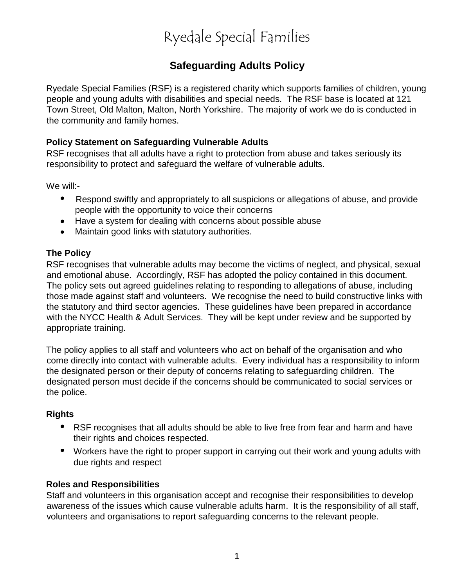# **Safeguarding Adults Policy**

Ryedale Special Families (RSF) is a registered charity which supports families of children, young people and young adults with disabilities and special needs. The RSF base is located at 121 Town Street, Old Malton, Malton, North Yorkshire. The majority of work we do is conducted in the community and family homes.

### **Policy Statement on Safeguarding Vulnerable Adults**

RSF recognises that all adults have a right to protection from abuse and takes seriously its responsibility to protect and safeguard the welfare of vulnerable adults.

We will:-

- $\bullet$  Respond swiftly and appropriately to all suspicions or allegations of abuse, and provide people with the opportunity to voice their concerns
- Have a system for dealing with concerns about possible abuse  $\bullet$
- Maintain good links with statutory authorities.

### **The Policy**

RSF recognises that vulnerable adults may become the victims of neglect, and physical, sexual and emotional abuse. Accordingly, RSF has adopted the policy contained in this document. The policy sets out agreed guidelines relating to responding to allegations of abuse, including those made against staff and volunteers. We recognise the need to build constructive links with the statutory and third sector agencies. These guidelines have been prepared in accordance with the NYCC Health & Adult Services. They will be kept under review and be supported by appropriate training.

The policy applies to all staff and volunteers who act on behalf of the organisation and who come directly into contact with vulnerable adults. Every individual has a responsibility to inform the designated person or their deputy of concerns relating to safeguarding children. The designated person must decide if the concerns should be communicated to social services or the police.

## **Rights**

- RSF recognises that all adults should be able to live free from fear and harm and have their rights and choices respected.
- Workers have the right to proper support in carrying out their work and young adults with due rights and respect

### **Roles and Responsibilities**

Staff and volunteers in this organisation accept and recognise their responsibilities to develop awareness of the issues which cause vulnerable adults harm. It is the responsibility of all staff, volunteers and organisations to report safeguarding concerns to the relevant people.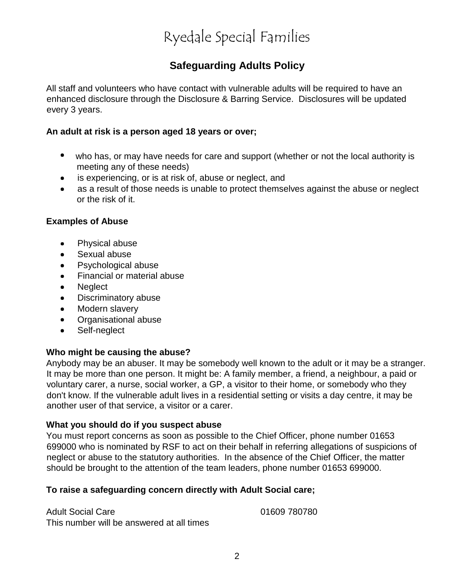# **Safeguarding Adults Policy**

All staff and volunteers who have contact with vulnerable adults will be required to have an enhanced disclosure through the Disclosure & Barring Service. Disclosures will be updated every 3 years.

#### **An adult at risk is a person aged 18 years or over;**

- $\bullet$  who has, or may have needs for care and support (whether or not the local authority is meeting any of these needs)
- is experiencing, or is at risk of, abuse or neglect, and  $\bullet$
- as a result of those needs is unable to protect themselves against the abuse or neglect  $\bullet$ or the risk of it.

#### **Examples of Abuse**

- Physical abuse  $\bullet$
- Sexual abuse  $\bullet$
- $\bullet$ Psychological abuse
- Financial or material abuse
- $\bullet$ **Neglect**
- Discriminatory abuse  $\bullet$
- Modern slavery  $\bullet$
- Organisational abuse  $\bullet$
- Self-neglect  $\bullet$

#### **Who might be causing the abuse?**

Anybody may be an abuser. It may be somebody well known to the adult or it may be a stranger. It may be more than one person. It might be: A family member, a friend, a neighbour, a paid or voluntary carer, a nurse, social worker, a GP, a visitor to their home, or somebody who they don't know. If the vulnerable adult lives in a residential setting or visits a day centre, it may be another user of that service, a visitor or a carer.

#### **What you should do if you suspect abuse**

You must report concerns as soon as possible to the Chief Officer, phone number 01653 699000 who is nominated by RSF to act on their behalf in referring allegations of suspicions of neglect or abuse to the statutory authorities. In the absence of the Chief Officer, the matter should be brought to the attention of the team leaders, phone number 01653 699000.

#### **To raise a safeguarding concern directly with Adult Social care;**

Adult Social Care 01609 780780 This number will be answered at all times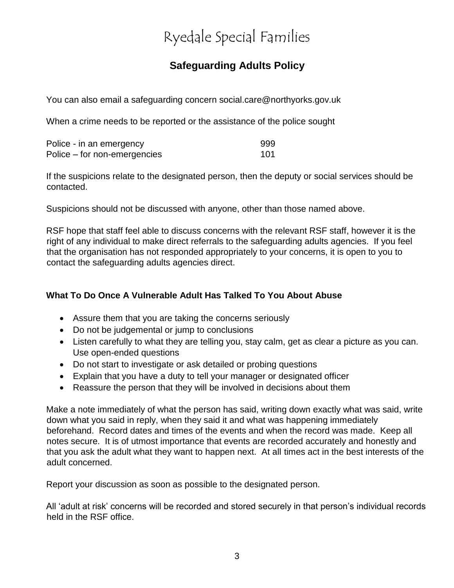# **Safeguarding Adults Policy**

You can also email a safeguarding concern social.care@northyorks.gov.uk

When a crime needs to be reported or the assistance of the police sought

| Police - in an emergency     | 999 |
|------------------------------|-----|
| Police – for non-emergencies | 101 |

If the suspicions relate to the designated person, then the deputy or social services should be contacted.

Suspicions should not be discussed with anyone, other than those named above.

RSF hope that staff feel able to discuss concerns with the relevant RSF staff, however it is the right of any individual to make direct referrals to the safeguarding adults agencies. If you feel that the organisation has not responded appropriately to your concerns, it is open to you to contact the safeguarding adults agencies direct.

### **What To Do Once A Vulnerable Adult Has Talked To You About Abuse**

- Assure them that you are taking the concerns seriously
- Do not be judgemental or jump to conclusions
- Listen carefully to what they are telling you, stay calm, get as clear a picture as you can. Use open-ended questions
- Do not start to investigate or ask detailed or probing questions
- Explain that you have a duty to tell your manager or designated officer
- Reassure the person that they will be involved in decisions about them

Make a note immediately of what the person has said, writing down exactly what was said, write down what you said in reply, when they said it and what was happening immediately beforehand. Record dates and times of the events and when the record was made. Keep all notes secure. It is of utmost importance that events are recorded accurately and honestly and that you ask the adult what they want to happen next. At all times act in the best interests of the adult concerned.

Report your discussion as soon as possible to the designated person.

All 'adult at risk' concerns will be recorded and stored securely in that person's individual records held in the RSF office.